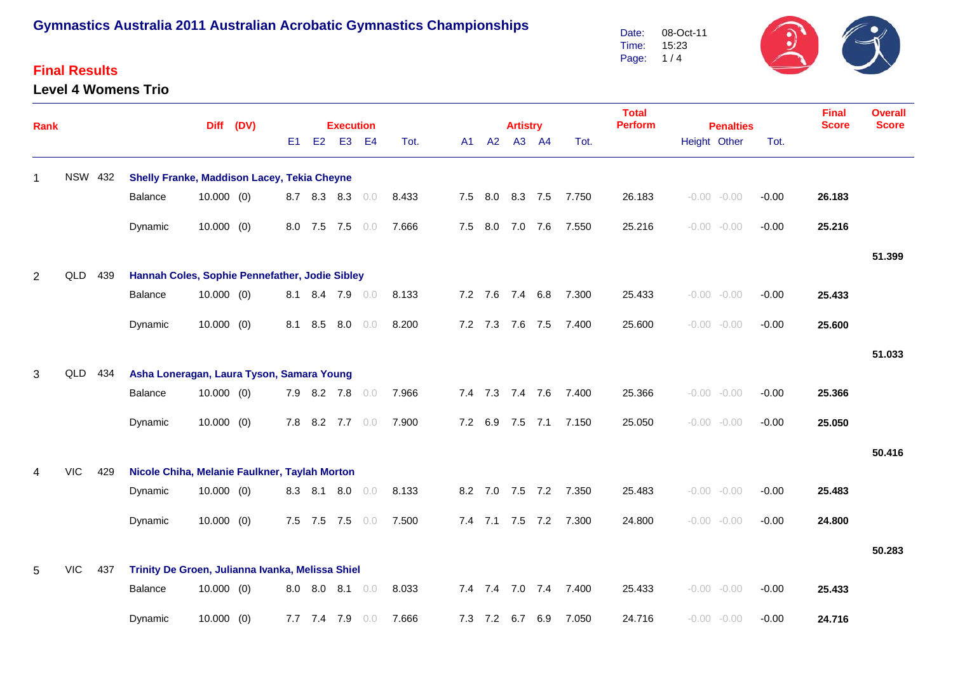#### **Final Results**

#### **Level 4 Womens Trio**

Date: Time: Page: 1 / 4 08-Oct-11 15:23

| Rank           |                |     |                                                                   | Diff (DV)    |  |                | <b>Execution</b> |                 |                |       |     | <b>Artistry</b> |                 |                 | <b>Total</b><br><b>Perform</b> | <b>Penalties</b> |                |                | <b>Final</b><br><b>Score</b> | <b>Overall</b><br><b>Score</b> |        |
|----------------|----------------|-----|-------------------------------------------------------------------|--------------|--|----------------|------------------|-----------------|----------------|-------|-----|-----------------|-----------------|-----------------|--------------------------------|------------------|----------------|----------------|------------------------------|--------------------------------|--------|
|                |                |     |                                                                   |              |  | E <sub>1</sub> | E2               | E <sub>3</sub>  | E <sub>4</sub> | Tot.  | A1  | A2              |                 | A3 A4           | Tot.                           |                  | Height Other   |                | Tot.                         |                                |        |
| $\mathbf{1}$   | <b>NSW 432</b> |     | <b>Shelly Franke, Maddison Lacey, Tekia Cheyne</b>                |              |  |                |                  |                 |                |       |     |                 |                 |                 |                                |                  |                |                |                              |                                |        |
|                |                |     | Balance                                                           | $10.000$ (0) |  |                |                  | 8.7 8.3 8.3     | 0.0            | 8.433 | 7.5 | 8.0             |                 | 8.3 7.5         | 7.750                          | 26.183           | $-0.00 - 0.00$ |                | $-0.00$                      | 26.183                         |        |
|                |                |     | Dynamic                                                           | $10.000$ (0) |  |                |                  | 8.0 7.5 7.5     | 0.0            | 7.666 |     |                 | 7.5 8.0 7.0 7.6 |                 | 7.550                          | 25.216           |                | $-0.00 - 0.00$ | $-0.00$                      | 25.216                         |        |
|                |                |     |                                                                   |              |  |                |                  |                 |                |       |     |                 |                 |                 |                                |                  |                |                |                              |                                | 51.399 |
| $\overline{2}$ | QLD            | 439 | Hannah Coles, Sophie Pennefather, Jodie Sibley<br>7.2 7.6 7.4 6.8 |              |  |                |                  |                 |                |       |     |                 |                 |                 |                                |                  |                |                |                              |                                |        |
|                |                |     | Balance                                                           | $10.000$ (0) |  | 8.1            |                  | 8.4 7.9         | 0.0            | 8.133 |     |                 |                 |                 | 7.300                          | 25.433           |                | $-0.00 - 0.00$ | $-0.00$                      | 25.433                         |        |
|                |                |     | Dynamic                                                           | $10.000$ (0) |  | 8.1            | 8.5              | 8.0             | 0.0            | 8.200 |     |                 | 7.2 7.3 7.6 7.5 |                 | 7.400                          | 25.600           | $-0.00 - 0.00$ |                | $-0.00$                      | 25.600                         |        |
|                |                |     |                                                                   |              |  |                |                  |                 |                |       |     |                 |                 |                 |                                |                  |                |                |                              |                                | 51.033 |
| 3              | QLD 434        |     | Asha Loneragan, Laura Tyson, Samara Young                         |              |  |                |                  |                 |                |       |     |                 |                 |                 |                                |                  |                |                |                              |                                |        |
|                |                |     | Balance                                                           | $10.000$ (0) |  |                |                  | 7.9 8.2 7.8     | 0.0            | 7.966 |     |                 | 7.4 7.3 7.4 7.6 |                 | 7.400                          | 25.366           |                | $-0.00 - 0.00$ | $-0.00$                      | 25.366                         |        |
|                |                |     | Dynamic                                                           | $10.000$ (0) |  |                |                  | 7.8 8.2 7.7 0.0 |                | 7.900 |     |                 |                 |                 | 7.2 6.9 7.5 7.1 7.150          | 25.050           | $-0.00 - 0.00$ |                | $-0.00$                      | 25.050                         |        |
|                |                |     |                                                                   |              |  |                |                  |                 |                |       |     |                 |                 |                 |                                |                  |                |                |                              |                                | 50.416 |
|                | <b>VIC</b>     | 429 | Nicole Chiha, Melanie Faulkner, Taylah Morton                     |              |  |                |                  |                 |                |       |     |                 |                 |                 |                                |                  |                |                |                              |                                |        |
|                |                |     | Dynamic                                                           | $10.000$ (0) |  |                | 8.3 8.1          | 8.0             | 0.0            | 8.133 |     |                 |                 |                 | 8.2 7.0 7.5 7.2 7.350          | 25.483           |                | $-0.00 - 0.00$ | $-0.00$                      | 25.483                         |        |
|                |                |     | Dynamic                                                           | $10.000$ (0) |  |                |                  | 7.5 7.5 7.5     | 0.0            | 7.500 |     |                 | 7.4 7.1 7.5 7.2 |                 | 7.300                          | 24.800           |                | $-0.00 - 0.00$ | $-0.00$                      | 24.800                         |        |
|                |                |     |                                                                   |              |  |                |                  |                 |                |       |     |                 |                 |                 |                                |                  |                |                |                              |                                | 50.283 |
| 5.             | <b>VIC</b>     | 437 | Trinity De Groen, Julianna Ivanka, Melissa Shiel                  |              |  |                |                  |                 |                |       |     |                 |                 |                 |                                |                  |                |                |                              |                                |        |
|                |                |     | Balance                                                           | $10.000$ (0) |  |                | 8.0 8.0 8.1      |                 | 0.0            | 8.033 |     |                 |                 | 7.4 7.4 7.0 7.4 | 7.400                          | 25.433           | $-0.00 - 0.00$ |                | $-0.00$                      | 25.433                         |        |
|                |                |     | Dynamic                                                           | $10.000$ (0) |  |                | 7.7 7.4 7.9      |                 | 0.0            | 7.666 |     |                 | 7.3 7.2 6.7     | 6.9             | 7.050                          | 24.716           |                | $-0.00 - 0.00$ | $-0.00$                      | 24.716                         |        |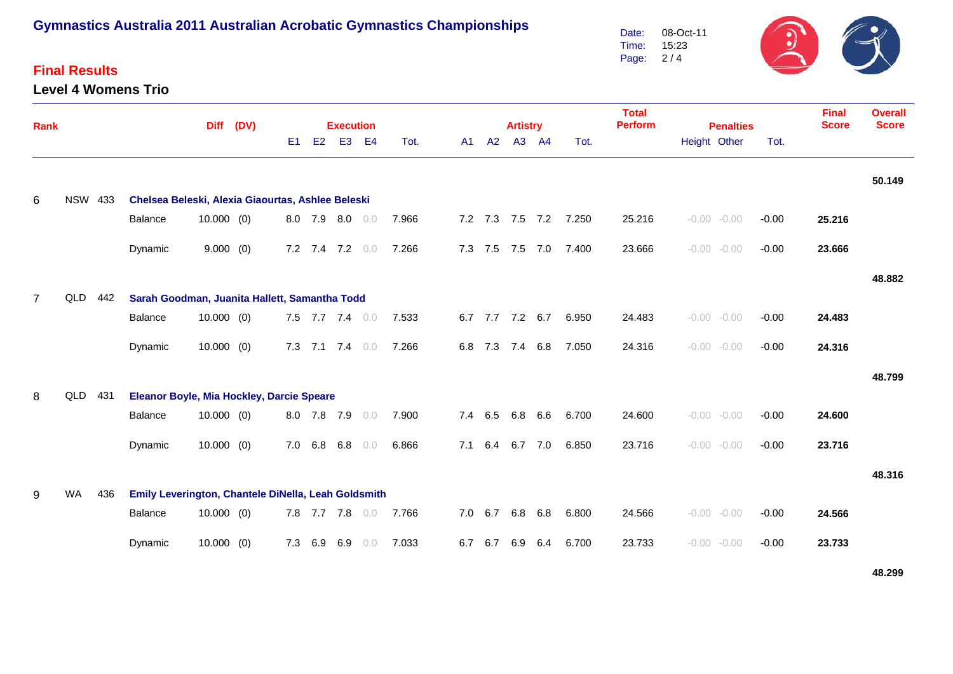## **Final Results**

**Level 4 Womens Trio**



| Rank           |                |     | <b>Diff</b>                                         |              | (DV) |                |             | <b>Execution</b> |                |       |     |                 | <b>Artistry</b> |                 |                       | <b>Total</b><br><b>Perform</b> |              | <b>Penalties</b> | <b>Final</b><br><b>Score</b> | <b>Overall</b><br><b>Score</b> |        |
|----------------|----------------|-----|-----------------------------------------------------|--------------|------|----------------|-------------|------------------|----------------|-------|-----|-----------------|-----------------|-----------------|-----------------------|--------------------------------|--------------|------------------|------------------------------|--------------------------------|--------|
|                |                |     |                                                     |              |      | E <sub>1</sub> | E2          | E <sub>3</sub>   | E <sub>4</sub> | Tot.  | A1  | A2              |                 | A3 A4           | Tot.                  |                                | Height Other |                  | Tot.                         |                                |        |
| 6              | <b>NSW 433</b> |     | Chelsea Beleski, Alexia Giaourtas, Ashlee Beleski   |              |      |                |             |                  |                |       |     |                 |                 |                 |                       |                                |              |                  |                              |                                | 50.149 |
|                |                |     | Balance                                             | $10.000$ (0) |      |                |             | 8.0 7.9 8.0 0.0  |                | 7.966 |     |                 |                 |                 | 7.2 7.3 7.5 7.2 7.250 | 25.216                         |              | $-0.00 - 0.00$   | $-0.00$                      | 25.216                         |        |
|                |                |     | Dynamic                                             | 9.000(0)     |      |                |             | 7.2 7.4 7.2 0.0  |                | 7.266 |     | 7.3 7.5 7.5 7.0 |                 |                 | 7.400                 | 23.666                         |              | $-0.00 - 0.00$   | $-0.00$                      | 23.666                         |        |
| $\overline{7}$ | QLD 442        |     | Sarah Goodman, Juanita Hallett, Samantha Todd       |              |      |                |             |                  |                |       |     |                 |                 |                 |                       |                                |              |                  |                              |                                | 48.882 |
|                |                |     | Balance                                             | $10.000$ (0) |      |                |             | 7.5 7.7 7.4 0.0  |                | 7.533 |     |                 |                 | 6.7 7.7 7.2 6.7 | 6.950                 | 24.483                         |              | $-0.00 - 0.00$   | $-0.00$                      | 24.483                         |        |
|                |                |     | Dynamic                                             | $10.000$ (0) |      | 7.3            |             | $7.1$ $7.4$ 0.0  |                | 7.266 |     | 6.8 7.3 7.4 6.8 |                 |                 | 7.050                 | 24.316                         |              | $-0.00 - 0.00$   | $-0.00$                      | 24.316                         |        |
| 8              | QLD            | 431 | Eleanor Boyle, Mia Hockley, Darcie Speare           |              |      |                |             |                  |                |       |     |                 |                 |                 |                       |                                |              |                  |                              |                                | 48.799 |
|                |                |     | Balance                                             | $10.000$ (0) |      |                | 8.0 7.8 7.9 |                  | 0.0            | 7.900 |     | 7.4 6.5         | 6.8             | 6.6             | 6.700                 | 24.600                         |              | $-0.00 - 0.00$   | $-0.00$                      | 24.600                         |        |
|                |                |     | Dynamic                                             | $10.000$ (0) |      | 7.0            | 6.8         | 6.8              | 0.0            | 6.866 | 7.1 | 6.4             | 6.7 7.0         |                 | 6.850                 | 23.716                         |              | $-0.00 - 0.00$   | $-0.00$                      | 23.716                         |        |
| 9              | WA             | 436 | Emily Leverington, Chantele DiNella, Leah Goldsmith |              |      |                |             |                  |                |       |     |                 |                 |                 |                       |                                |              |                  |                              |                                | 48.316 |
|                |                |     | <b>Balance</b>                                      | $10.000$ (0) |      |                |             | 7.8 7.7 7.8      | 0.0            | 7.766 |     | 7.0 6.7         | 6.8 6.8         |                 | 6.800                 | 24.566                         |              | $-0.00 - 0.00$   | $-0.00$                      | 24.566                         |        |
|                |                |     | Dynamic                                             | $10.000$ (0) |      |                | 7.3 6.9 6.9 |                  | 0.0            | 7.033 |     | 6.7 6.7 6.9 6.4 |                 |                 | 6.700                 | 23.733                         |              | $-0.00 - 0.00$   | $-0.00$                      | 23.733                         |        |

**48.299**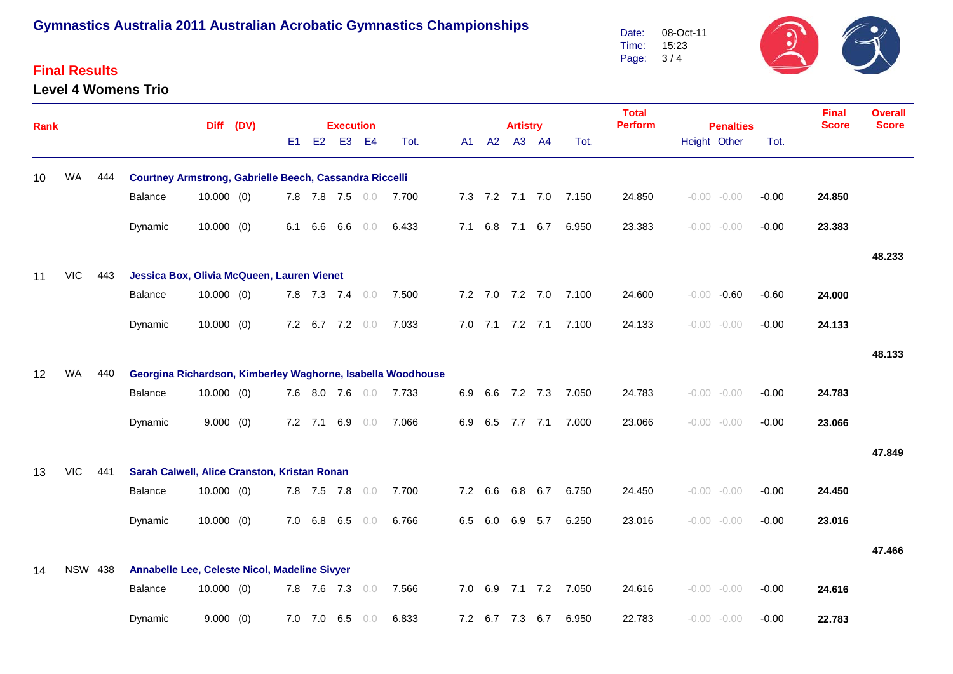### **Final Results**

#### **Level 4 Womens Trio**

 $\mathfrak{D}$ 08-Oct-11 Date: Time: 15:23 Page: 3 / 4

| Rank |            |                |                                                             |              | Diff (DV) |    |             | <b>Execution</b> |                |       |     |         |       | <b>Artistry</b> |                 |       | <b>Total</b><br><b>Perform</b> | <b>Penalties</b> |         | <b>Final</b><br><b>Score</b> | <b>Overall</b><br><b>Score</b> |
|------|------------|----------------|-------------------------------------------------------------|--------------|-----------|----|-------------|------------------|----------------|-------|-----|---------|-------|-----------------|-----------------|-------|--------------------------------|------------------|---------|------------------------------|--------------------------------|
|      |            |                |                                                             |              |           | E1 | E2          | <b>E3</b>        | <b>E4</b>      | Tot.  |     |         | A1 A2 | A3 A4           |                 | Tot.  |                                | Height Other     | Tot.    |                              |                                |
| 10   | WA         | 444            | Courtney Armstrong, Gabrielle Beech, Cassandra Riccelli     |              |           |    |             |                  |                |       |     |         |       |                 |                 |       |                                |                  |         |                              |                                |
|      |            |                | Balance                                                     | $10.000$ (0) |           |    |             | 7.8 7.8 7.5 0.0  |                | 7.700 |     |         |       |                 | 7.3 7.2 7.1 7.0 | 7.150 | 24.850                         | $-0.00 - 0.00$   | $-0.00$ | 24.850                       |                                |
|      |            |                | Dynamic                                                     | $10.000$ (0) |           |    | 6.1 6.6     |                  | $6.6\quad 0.0$ | 6.433 |     |         |       |                 | 7.1 6.8 7.1 6.7 | 6.950 | 23.383                         | $-0.00 - 0.00$   | $-0.00$ | 23.383                       |                                |
|      |            |                |                                                             |              |           |    |             |                  |                |       |     |         |       |                 |                 |       |                                |                  |         |                              | 48.233                         |
| 11   | <b>VIC</b> | 443            | Jessica Box, Olivia McQueen, Lauren Vienet                  |              |           |    |             |                  |                |       |     |         |       |                 |                 |       |                                |                  |         |                              |                                |
|      |            |                | Balance                                                     | $10.000$ (0) |           |    |             | 7.8 7.3 7.4 0.0  |                | 7.500 |     |         |       | 7.2 7.0 7.2 7.0 |                 | 7.100 | 24.600                         | $-0.00 - 0.60$   | $-0.60$ | 24.000                       |                                |
|      |            |                | Dynamic                                                     | $10.000$ (0) |           |    |             | 7.2 6.7 7.2 0.0  |                | 7.033 |     |         |       | 7.0 7.1 7.2 7.1 |                 | 7.100 | 24.133                         | $-0.00 - 0.00$   | $-0.00$ | 24.133                       |                                |
|      |            |                |                                                             |              |           |    |             |                  |                |       |     |         |       |                 |                 |       |                                |                  |         |                              | 48.133                         |
| 12   | <b>WA</b>  | 440            | Georgina Richardson, Kimberley Waghorne, Isabella Woodhouse |              |           |    |             |                  |                |       |     |         |       |                 |                 |       |                                |                  |         |                              |                                |
|      |            |                | Balance                                                     | $10.000$ (0) |           |    |             | 7.6 8.0 7.6 0.0  |                | 7.733 | 6.9 |         |       | 6.6 7.2 7.3     |                 | 7.050 | 24.783                         | $-0.00 - 0.00$   | $-0.00$ | 24.783                       |                                |
|      |            |                | Dynamic                                                     | 9.000(0)     |           |    | $7.2$ $7.1$ |                  | $6.9\quad 0.0$ | 7.066 | 6.9 |         |       | 6.5 7.7 7.1     |                 | 7.000 | 23.066                         | $-0.00 - 0.00$   | $-0.00$ | 23.066                       |                                |
|      |            |                |                                                             |              |           |    |             |                  |                |       |     |         |       |                 |                 |       |                                |                  |         |                              | 47.849                         |
| 13   | <b>VIC</b> | 441            | Sarah Calwell, Alice Cranston, Kristan Ronan                |              |           |    |             |                  |                |       |     |         |       |                 |                 |       |                                |                  |         |                              |                                |
|      |            |                | Balance                                                     | $10.000$ (0) |           |    |             | 7.8 7.5 7.8 0.0  |                | 7.700 |     | 7.2 6.6 |       |                 | 6.8 6.7         | 6.750 | 24.450                         | $-0.00 - 0.00$   | $-0.00$ | 24.450                       |                                |
|      |            |                | Dynamic                                                     | $10.000$ (0) |           |    | 7.0 6.8     | 6.5              | 0.0            | 6.766 | 6.5 |         | 6.0   | 6.9             | 5.7             | 6.250 | 23.016                         | $-0.00 - 0.00$   | $-0.00$ | 23.016                       |                                |
|      |            |                |                                                             |              |           |    |             |                  |                |       |     |         |       |                 |                 |       |                                |                  |         |                              | 47.466                         |
| 14   |            | <b>NSW 438</b> | Annabelle Lee, Celeste Nicol, Madeline Sivyer               |              |           |    |             |                  |                |       |     |         |       |                 |                 |       |                                |                  |         |                              |                                |
|      |            |                | Balance                                                     | $10.000$ (0) |           |    |             | 7.8 7.6 7.3 0.0  |                | 7.566 | 7.0 |         | 6.9   | $7.1$ $7.2$     |                 | 7.050 | 24.616                         | $-0.00 - 0.00$   | $-0.00$ | 24.616                       |                                |
|      |            |                | Dynamic                                                     | 9.000(0)     |           |    | 7.0 7.0     | 6.5              | 0.0            | 6.833 |     |         |       | 7.2 6.7 7.3     | 6.7             | 6.950 | 22.783                         | $-0.00 - 0.00$   | $-0.00$ | 22.783                       |                                |